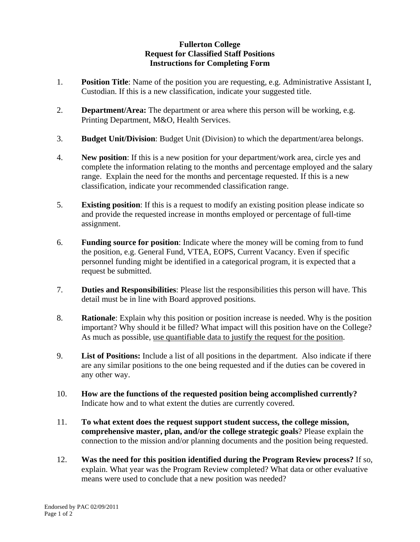## **Fullerton College Request for Classified Staff Positions Instructions for Completing Form**

- 1. **Position Title**: Name of the position you are requesting, e.g. Administrative Assistant I, Custodian. If this is a new classification, indicate your suggested title.
- 2. **Department/Area:** The department or area where this person will be working, e.g. Printing Department, M&O, Health Services.
- 3. **Budget Unit/Division**: Budget Unit (Division) to which the department/area belongs.
- 4. **New position**: If this is a new position for your department/work area, circle yes and complete the information relating to the months and percentage employed and the salary range. Explain the need for the months and percentage requested. If this is a new classification, indicate your recommended classification range.
- 5. **Existing position**: If this is a request to modify an existing position please indicate so and provide the requested increase in months employed or percentage of full-time assignment.
- 6. **Funding source for position**: Indicate where the money will be coming from to fund the position, e.g. General Fund, VTEA, EOPS, Current Vacancy. Even if specific personnel funding might be identified in a categorical program, it is expected that a request be submitted.
- 7. **Duties and Responsibilities**: Please list the responsibilities this person will have. This detail must be in line with Board approved positions.
- 8. **Rationale**: Explain why this position or position increase is needed. Why is the position important? Why should it be filled? What impact will this position have on the College? As much as possible, use quantifiable data to justify the request for the position.
- 9. **List of Positions:** Include a list of all positions in the department. Also indicate if there are any similar positions to the one being requested and if the duties can be covered in any other way.
- 10. **How are the functions of the requested position being accomplished currently?** Indicate how and to what extent the duties are currently covered.
- 11. **To what extent does the request support student success, the college mission, comprehensive master, plan, and/or the college strategic goals**? Please explain the connection to the mission and/or planning documents and the position being requested.
- 12. **Was the need for this position identified during the Program Review process?** If so, explain. What year was the Program Review completed? What data or other evaluative means were used to conclude that a new position was needed?